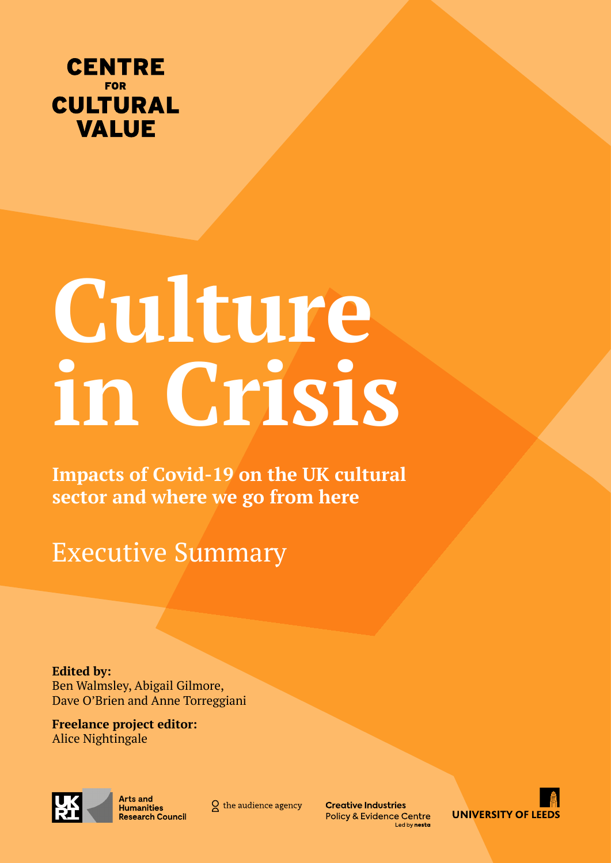

# **Culture in Crisis**

**Impacts of Covid-19 on the UK cultural sector and where we go from here**

Executive Summary

**Edited by:**  Ben Walmsley, Abigail Gilmore, Dave O'Brien and Anne Torreggiani

**Freelance project editor:**  Alice Nightingale



Arts and Humanities **Research Council** 

 $Q$  the audience agency

**Creative Industries Policy & Evidence Centre** Led by nesta

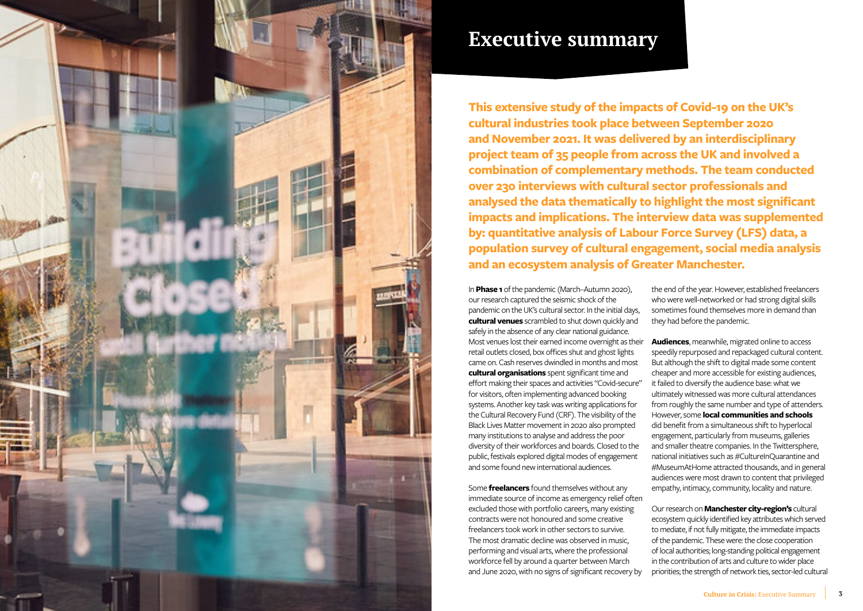

# **Executive summary**

**This extensive study of the impacts of Covid-19 on the UK's cultural industries took place between September 2020 and November 2021. It was delivered by an interdisciplinary project team of 35 people from across the UK and involved a combination of complementary methods. The team conducted over 230 interviews with cultural sector professionals and analysed the data thematically to highlight the most significant impacts and implications. The interview data was supplemented by: quantitative analysis of Labour Force Survey (LFS) data, a population survey of cultural engagement, social media analysis and an ecosystem analysis of Greater Manchester.** 

In **Phase 1** of the pandemic (March–Autumn 2020), our research captured the seismic shock of the pandemic on the UK's cultural sector. In the initial days, **cultural venues** scrambled to shut down quickly and safely in the absence of any clear national guidance. Most venues lost their earned income overnight as their retail outlets closed, box offices shut and ghost lights came on. Cash reserves dwindled in months and most **cultural organisations** spent significant time and effort making their spaces and activities "Covid-secure" for visitors, often implementing advanced booking systems. Another key task was writing applications for the Cultural Recovery Fund (CRF). The visibility of the Black Lives Matter movement in 2020 also prompted many institutions to analyse and address the poor diversity of their workforces and boards. Closed to the public, festivals explored digital modes of engagement and some found new international audiences. Some **freelancers** found themselves without any the end of the year. However, established freelancers who were well-networked or had strong digital skills sometimes found themselves more in demand than they had before the pandemic. **Audiences**, meanwhile, migrated online to access speedily repurposed and repackaged cultural content. But although the shift to digital made some content cheaper and more accessible for existing audiences, it failed to diversify the audience base: what we ultimately witnessed was more cultural attendances from roughly the same number and type of attenders. However, some **local communities and schools** did benefit from a simultaneous shift to hyperlocal engagement, particularly from museums, galleries and smaller theatre companies. In the Twittersphere, national initiatives such as #CultureInQuarantine and #MuseumAtHome attracted thousands, and in general audiences were most drawn to content that privileged empathy, intimacy, community, locality and nature.

immediate source of income as emergency relief often excluded those with portfolio careers, many existing contracts were not honoured and some creative freelancers took work in other sectors to survive. The most dramatic decline was observed in music, performing and visual arts, where the professional workforce fell by around a quarter between March and June 2020, with no signs of significant recovery by Our research on **Manchester city-region's** cultural ecosystem quickly identified key attributes which served to mediate, if not fully mitigate, the immediate impacts of the pandemic. These were: the close cooperation of local authorities; long-standing political engagement in the contribution of arts and culture to wider place priorities; the strength of network ties, sector-led cultural

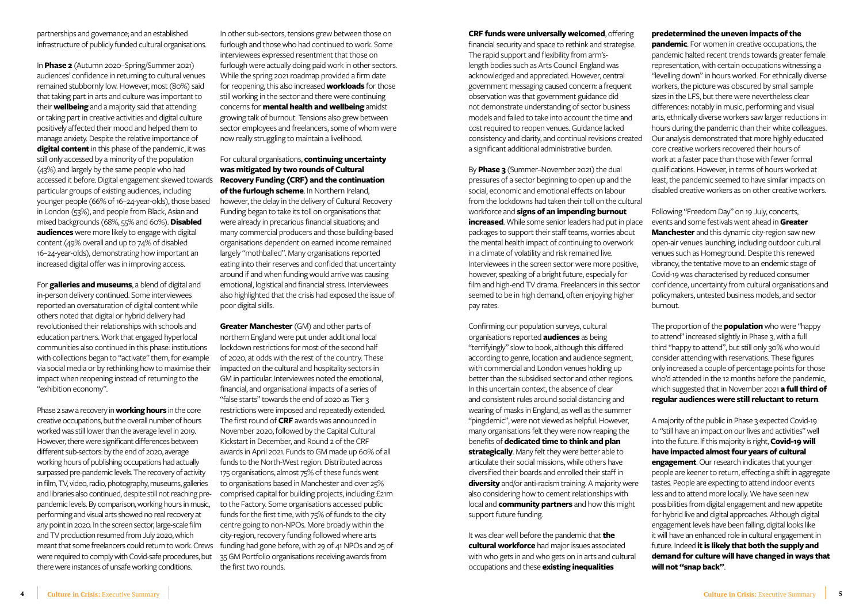partnerships and governance; and an established infrastructure of publicly funded cultural organisations.

In **Phase 2** (Autumn 2020–Spring/Summer 2021) audiences' confidence in returning to cultural venues remained stubbornly low. However, most (80%) said that taking part in arts and culture was important to their **wellbeing** and a majority said that attending or taking part in creative activities and digital culture positively affected their mood and helped them to manage anxiety. Despite the relative importance of **digital content** in this phase of the pandemic, it was still only accessed by a minority of the population (43%) and largely by the same people who had accessed it before. Digital engagement skewed towards particular groups of existing audiences, including younger people (66% of 16–24-year-olds), those based in London (53%), and people from Black, Asian and mixed backgrounds (68%, 55% and 60%). **Disabled audiences** were more likely to engage with digital content (49% overall and up to 74% of disabled 16–24-year-olds), demonstrating how important an increased digital offer was in improving access.

For **galleries and museums**, a blend of digital and in-person delivery continued. Some interviewees reported an oversaturation of digital content while others noted that digital or hybrid delivery had revolutionised their relationships with schools and education partners. Work that engaged hyperlocal communities also continued in this phase: institutions with collections began to "activate" them, for example via social media or by rethinking how to maximise their impact when reopening instead of returning to the "exhibition economy".

Phase 2 saw a recovery in **working hours** in the core creative occupations, but the overall number of hours worked was still lower than the average level in 2019. However, there were significant differences between different sub-sectors: by the end of 2020, average working hours of publishing occupations had actually surpassed pre-pandemic levels. The recovery of activity in film, TV, video, radio, photography, museums, galleries and libraries also continued, despite still not reaching prepandemic levels. By comparison, working hours in music, performing and visual arts showed no real recovery at any point in 2020. In the screen sector, large-scale film and TV production resumed from July 2020, which meant that some freelancers could return to work. Crews were required to comply with Covid-safe procedures, but there were instances of unsafe working conditions.

#### **CRF funds were universally welcomed**, offering

financial security and space to rethink and strategise. The rapid support and flexibility from arm'slength bodies such as Arts Council England was acknowledged and appreciated. However, central government messaging caused concern: a frequent observation was that government guidance did not demonstrate understanding of sector business models and failed to take into account the time and cost required to reopen venues. Guidance lacked consistency and clarity, and continual revisions created a significant additional administrative burden.

Confirming our population surveys, cultural organisations reported **audiences** as being "terrifyingly" slow to book, although this differed according to genre, location and audience segment, with commercial and London venues holding up better than the subsidised sector and other regions. In this uncertain context, the absence of clear and consistent rules around social distancing and wearing of masks in England, as well as the summer "pingdemic", were not viewed as helpful. However, many organisations felt they were now reaping the benefits of **dedicated time to think and plan strategically**. Many felt they were better able to articulate their social missions, while others have diversified their boards and enrolled their staff in **diversity** and/or anti-racism training. A majority were also considering how to cement relationships with local and **community partners** and how this might support future funding.

It was clear well before the pandemic that **the cultural workforce** had major issues associated with who gets in and who gets on in arts and cultural occupations and these **existing inequalities** 

In other sub-sectors, tensions grew between those on furlough and those who had continued to work. Some interviewees expressed resentment that those on furlough were actually doing paid work in other sectors. While the spring 2021 roadmap provided a firm date for reopening, this also increased **workloads** for those still working in the sector and there were continuing concerns for **mental health and wellbeing** amidst growing talk of burnout. Tensions also grew between sector employees and freelancers, some of whom were now really struggling to maintain a livelihood.

For cultural organisations, **continuing uncertainty was mitigated by two rounds of Cultural Recovery Funding (CRF) and the continuation of the furlough scheme**. In Northern Ireland, however, the delay in the delivery of Cultural Recovery Funding began to take its toll on organisations that were already in precarious financial situations; and many commercial producers and those building-based organisations dependent on earned income remained largely "mothballed". Many organisations reported eating into their reserves and confided that uncertainty around if and when funding would arrive was causing emotional, logistical and financial stress. Interviewees also highlighted that the crisis had exposed the issue of poor digital skills.

By **Phase 3** (Summer–November 2021) the dual pressures of a sector beginning to open up and the social, economic and emotional effects on labour from the lockdowns had taken their toll on the cultural workforce and **signs of an impending burnout increased**. While some senior leaders had put in place packages to support their staff teams, worries about the mental health impact of continuing to overwork in a climate of volatility and risk remained live. Interviewees in the screen sector were more positive, however, speaking of a bright future, especially for film and high-end TV drama. Freelancers in this sector seemed to be in high demand, often enjoying higher pay rates. least, the pandemic seemed to have similar impacts on disabled creative workers as on other creative workers. Following "Freedom Day" on 19 July, concerts, events and some festivals went ahead in **Greater Manchester** and this dynamic city-region saw new open-air venues launching, including outdoor cultural venues such as Homeground. Despite this renewed vibrancy, the tentative move to an endemic stage of Covid-19 was characterised by reduced consumer confidence, uncertainty from cultural organisations and policymakers, untested business models, and sector burnout.

**Greater Manchester** (GM) and other parts of northern England were put under additional local lockdown restrictions for most of the second half of 2020, at odds with the rest of the country. These impacted on the cultural and hospitality sectors in GM in particular. Interviewees noted the emotional, financial, and organisational impacts of a series of "false starts" towards the end of 2020 as Tier 3 restrictions were imposed and repeatedly extended. The first round of **CRF** awards was announced in November 2020, followed by the Capital Cultural Kickstart in December, and Round 2 of the CRF awards in April 2021. Funds to GM made up 60% of all funds to the North-West region. Distributed across 175 organisations, almost 75% of these funds went to organisations based in Manchester and over 25% comprised capital for building projects, including £21m to the Factory. Some organisations accessed public funds for the first time, with 75% of funds to the city centre going to non-NPOs. More broadly within the city-region, recovery funding followed where arts funding had gone before, with 29 of 41 NPOs and 25 of 35 GM Portfolio organisations receiving awards from the first two rounds.

## **predetermined the uneven impacts of the**

**pandemic**. For women in creative occupations, the pandemic halted recent trends towards greater female representation, with certain occupations witnessing a "levelling down" in hours worked. For ethnically diverse workers, the picture was obscured by small sample sizes in the LFS, but there were nevertheless clear differences: notably in music, performing and visual arts, ethnically diverse workers saw larger reductions in hours during the pandemic than their white colleagues. Our analysis demonstrated that more highly educated core creative workers recovered their hours of work at a faster pace than those with fewer formal qualifications. However, in terms of hours worked at

The proportion of the **population** who were "happy to attend" increased slightly in Phase 3, with a full third "happy to attend", but still only 30% who would consider attending with reservations. These figures only increased a couple of percentage points for those who'd attended in the 12 months before the pandemic, which suggested that in November 2021 **a full third of regular audiences were still reluctant to return**.

A majority of the public in Phase 3 expected Covid-19 to "still have an impact on our lives and activities" well into the future. If this majority is right, **Covid-19 will have impacted almost four years of cultural engagement**. Our research indicates that younger people are keener to return, effecting a shift in aggregate tastes. People are expecting to attend indoor events less and to attend more locally. We have seen new possibilities from digital engagement and new appetite for hybrid live and digital approaches. Although digital engagement levels have been falling, digital looks like it will have an enhanced role in cultural engagement in future. Indeed **it is likely that both the supply and demand for culture will have changed in ways that will not "snap back"**.